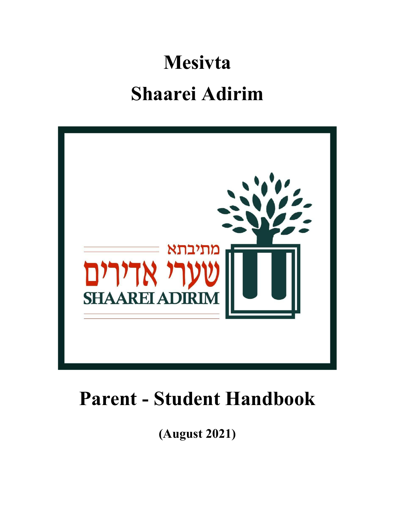# **Mesivta Shaarei Adirim**



## **Parent - Student Handbook**

**(August 2021)**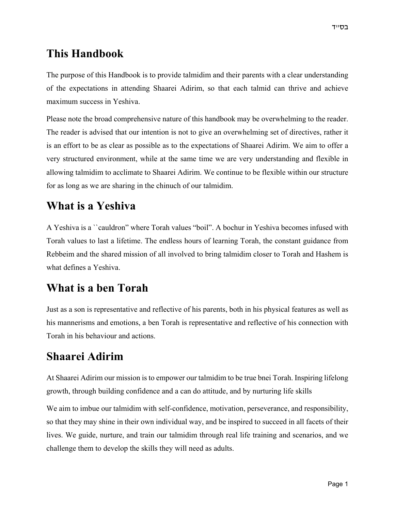#### **This Handbook**

The purpose of this Handbook is to provide talmidim and their parents with a clear understanding of the expectations in attending Shaarei Adirim, so that each talmid can thrive and achieve maximum success in Yeshiva.

Please note the broad comprehensive nature of this handbook may be overwhelming to the reader. The reader is advised that our intention is not to give an overwhelming set of directives, rather it is an effort to be as clear as possible as to the expectations of Shaarei Adirim. We aim to offer a very structured environment, while at the same time we are very understanding and flexible in allowing talmidim to acclimate to Shaarei Adirim. We continue to be flexible within our structure for as long as we are sharing in the chinuch of our talmidim.

#### **What is a Yeshiva**

A Yeshiva is a ``cauldron" where Torah values "boil". A bochur in Yeshiva becomes infused with Torah values to last a lifetime. The endless hours of learning Torah, the constant guidance from Rebbeim and the shared mission of all involved to bring talmidim closer to Torah and Hashem is what defines a Yeshiva.

#### **What is a ben Torah**

Just as a son is representative and reflective of his parents, both in his physical features as well as his mannerisms and emotions, a ben Torah is representative and reflective of his connection with Torah in his behaviour and actions.

#### **Shaarei Adirim**

At Shaarei Adirim our mission is to empower our talmidim to be true bnei Torah. Inspiring lifelong growth, through building confidence and a can do attitude, and by nurturing life skills

We aim to imbue our talmidim with self-confidence, motivation, perseverance, and responsibility, so that they may shine in their own individual way, and be inspired to succeed in all facets of their lives. We guide, nurture, and train our talmidim through real life training and scenarios, and we challenge them to develop the skills they will need as adults.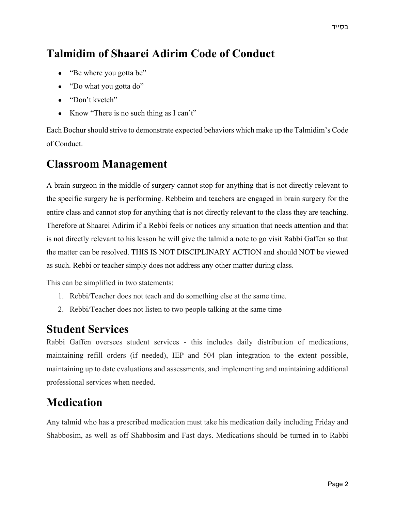#### **Talmidim of Shaarei Adirim Code of Conduct**

- "Be where you gotta be"
- "Do what you gotta do"
- "Don't kvetch"
- Know "There is no such thing as I can't"

Each Bochur should strive to demonstrate expected behaviors which make up the Talmidim's Code of Conduct.

#### **Classroom Management**

A brain surgeon in the middle of surgery cannot stop for anything that is not directly relevant to the specific surgery he is performing. Rebbeim and teachers are engaged in brain surgery for the entire class and cannot stop for anything that is not directly relevant to the class they are teaching. Therefore at Shaarei Adirim if a Rebbi feels or notices any situation that needs attention and that is not directly relevant to his lesson he will give the talmid a note to go visit Rabbi Gaffen so that the matter can be resolved. THIS IS NOT DISCIPLINARY ACTION and should NOT be viewed as such. Rebbi or teacher simply does not address any other matter during class.

This can be simplified in two statements:

- 1. Rebbi/Teacher does not teach and do something else at the same time.
- 2. Rebbi/Teacher does not listen to two people talking at the same time

#### **Student Services**

Rabbi Gaffen oversees student services - this includes daily distribution of medications, maintaining refill orders (if needed), IEP and 504 plan integration to the extent possible, maintaining up to date evaluations and assessments, and implementing and maintaining additional professional services when needed.

#### **Medication**

Any talmid who has a prescribed medication must take his medication daily including Friday and Shabbosim, as well as off Shabbosim and Fast days. Medications should be turned in to Rabbi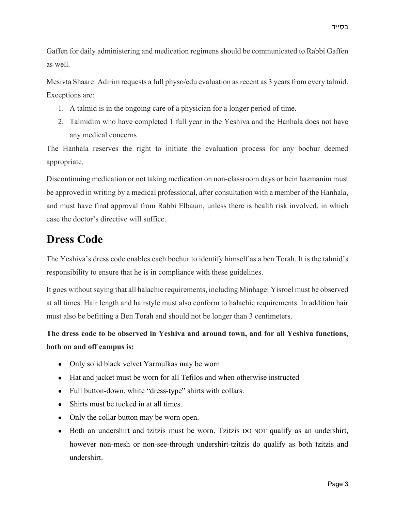Gaffen for daily administering and medication regimens should be communicated to Rabbi Gaffen as well.

Mesivta Shaarei Adirim requests a full physo/edu evaluation as recent as 3 years from every talmid. Exceptions are:

- 1. A talmid is in the ongoing care of a physician for a longer period of time.
- 2. Talmidim who have completed 1 full year in the Yeshiva and the Hanhala does not have any medical concerns

The Hanhala reserves the right to initiate the evaluation process for any bochur deemed appropriate.

Discontinuing medication or not taking medication on non-classroom days or bein hazmanim must be approved in writing by a medical professional, after consultation with a member of the Hanhala, and must have final approval from Rabbi Elbaum, unless there is health risk involved, in which case the doctor's directive will suffice.

#### **Dress Code**

The Yeshiva's dress code enables each bochur to identify himself as a ben Torah. It is the talmid's responsibility to ensure that he is in compliance with these guidelines.

It goes without saying that all halachic requirements, including Minhagei Yisroel must be observed at all times. Hair length and hairstyle must also conform to halachic requirements. In addition hair must also be befitting a Ben Torah and should not be longer than 3 centimeters.

**The dress code to be observed in Yeshiva and around town, and for all Yeshiva functions, both on and off campus is:**

- Only solid black velvet Yarmulkas may be worn
- Hat and jacket must be worn for all Tefilos and when otherwise instructed
- Full button-down, white "dress-type" shirts with collars.
- Shirts must be tucked in at all times.
- Only the collar button may be worn open.
- Both an undershirt and tzitzis must be worn. Tzitzis DO NOT qualify as an undershirt, however non-mesh or non-see-through undershirt-tzitzis do qualify as both tzitzis and undershirt.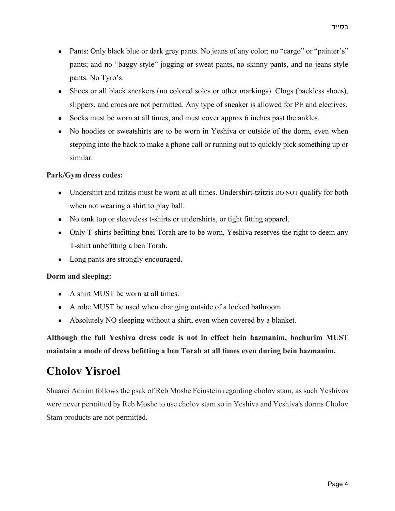- Pants: Only black blue or dark grey pants. No jeans of any color; no "cargo" or "painter's" pants; and no "baggy-style" jogging or sweat pants, no skinny pants, and no jeans style pants. No Tyro's.
- Shoes or all black sneakers (no colored soles or other markings). Clogs (backless shoes), slippers, and crocs are not permitted. Any type of sneaker is allowed for PE and electives.
- Socks must be worn at all times, and must cover approx 6 inches past the ankles.
- No hoodies or sweatshirts are to be worn in Yeshiva or outside of the dorm, even when stepping into the back to make a phone call or running out to quickly pick something up or similar.

#### **Park/Gym dress codes:**

- Undershirt and tzitzis must be worn at all times. Undershirt-tzitzis DO NOT qualify for both when not wearing a shirt to play ball.
- No tank top or sleeveless t-shirts or undershirts, or tight fitting apparel.
- Only T-shirts befitting bnei Torah are to be worn, Yeshiva reserves the right to deem any T-shirt unbefitting a ben Torah.
- Long pants are strongly encouraged.

#### **Dorm and sleeping:**

- A shirt MUST be worn at all times.
- A robe MUST be used when changing outside of a locked bathroom
- Absolutely NO sleeping without a shirt, even when covered by a blanket.

**Although the full Yeshiva dress code is not in effect bein hazmanim, bochurim MUST maintain a mode of dress befitting a ben Torah at all times even during bein hazmanim.**

#### **Cholov Yisroel**

Shaarei Adirim follows the psak of Reb Moshe Feinstein regarding cholov stam, as such Yeshivos were never permitted by Reb Moshe to use cholov stam so in Yeshiva and Yeshiva's dorms Cholov Stam products are not permitted.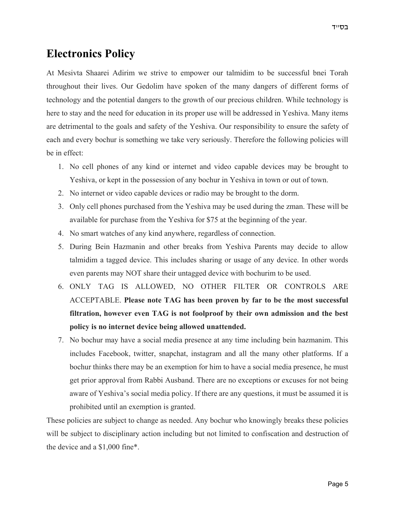#### **Electronics Policy**

At Mesivta Shaarei Adirim we strive to empower our talmidim to be successful bnei Torah throughout their lives. Our Gedolim have spoken of the many dangers of different forms of technology and the potential dangers to the growth of our precious children. While technology is here to stay and the need for education in its proper use will be addressed in Yeshiva. Many items are detrimental to the goals and safety of the Yeshiva. Our responsibility to ensure the safety of each and every bochur is something we take very seriously. Therefore the following policies will be in effect:

- 1. No cell phones of any kind or internet and video capable devices may be brought to Yeshiva, or kept in the possession of any bochur in Yeshiva in town or out of town.
- 2. No internet or video capable devices or radio may be brought to the dorm.
- 3. Only cell phones purchased from the Yeshiva may be used during the zman. These will be available for purchase from the Yeshiva for \$75 at the beginning of the year.
- 4. No smart watches of any kind anywhere, regardless of connection.
- 5. During Bein Hazmanin and other breaks from Yeshiva Parents may decide to allow talmidim a tagged device. This includes sharing or usage of any device. In other words even parents may NOT share their untagged device with bochurim to be used.
- 6. ONLY TAG IS ALLOWED, NO OTHER FILTER OR CONTROLS ARE ACCEPTABLE. **Please note TAG has been proven by far to be the most successful filtration, however even TAG is not foolproof by their own admission and the best policy is no internet device being allowed unattended.**
- 7. No bochur may have a social media presence at any time including bein hazmanim. This includes Facebook, twitter, snapchat, instagram and all the many other platforms. If a bochur thinks there may be an exemption for him to have a social media presence, he must get prior approval from Rabbi Ausband. There are no exceptions or excuses for not being aware of Yeshiva's social media policy. If there are any questions, it must be assumed it is prohibited until an exemption is granted.

These policies are subject to change as needed. Any bochur who knowingly breaks these policies will be subject to disciplinary action including but not limited to confiscation and destruction of the device and a \$1,000 fine\*.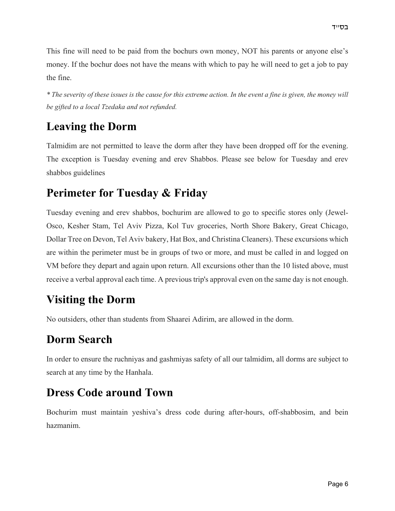This fine will need to be paid from the bochurs own money, NOT his parents or anyone else's money. If the bochur does not have the means with which to pay he will need to get a job to pay the fine.

*\* The severity of these issues is the cause for this extreme action. In the event a fine is given, the money will be gifted to a local Tzedaka and not refunded.*

#### **Leaving the Dorm**

Talmidim are not permitted to leave the dorm after they have been dropped off for the evening. The exception is Tuesday evening and erev Shabbos. Please see below for Tuesday and erev shabbos guidelines

#### **Perimeter for Tuesday & Friday**

Tuesday evening and erev shabbos, bochurim are allowed to go to specific stores only (Jewel-Osco, Kesher Stam, Tel Aviv Pizza, Kol Tuv groceries, North Shore Bakery, Great Chicago, Dollar Tree on Devon, Tel Aviv bakery, Hat Box, and Christina Cleaners). These excursions which are within the perimeter must be in groups of two or more, and must be called in and logged on VM before they depart and again upon return. All excursions other than the 10 listed above, must receive a verbal approval each time. A previous trip's approval even on the same day is not enough.

#### **Visiting the Dorm**

No outsiders, other than students from Shaarei Adirim, are allowed in the dorm.

#### **Dorm Search**

In order to ensure the ruchniyas and gashmiyas safety of all our talmidim, all dorms are subject to search at any time by the Hanhala.

#### **Dress Code around Town**

Bochurim must maintain yeshiva's dress code during after-hours, off-shabbosim, and bein hazmanim.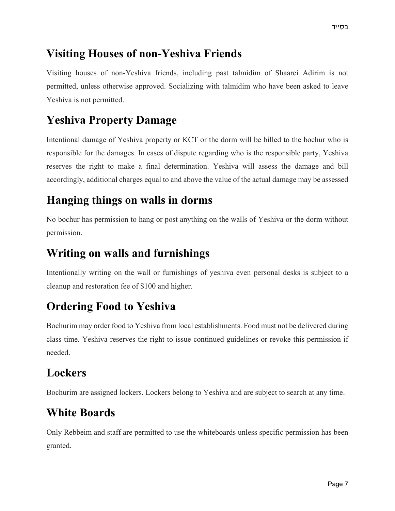#### **Visiting Houses of non-Yeshiva Friends**

Visiting houses of non-Yeshiva friends, including past talmidim of Shaarei Adirim is not permitted, unless otherwise approved. Socializing with talmidim who have been asked to leave Yeshiva is not permitted.

#### **Yeshiva Property Damage**

Intentional damage of Yeshiva property or KCT or the dorm will be billed to the bochur who is responsible for the damages. In cases of dispute regarding who is the responsible party, Yeshiva reserves the right to make a final determination. Yeshiva will assess the damage and bill accordingly, additional charges equal to and above the value of the actual damage may be assessed

#### **Hanging things on walls in dorms**

No bochur has permission to hang or post anything on the walls of Yeshiva or the dorm without permission.

#### **Writing on walls and furnishings**

Intentionally writing on the wall or furnishings of yeshiva even personal desks is subject to a cleanup and restoration fee of \$100 and higher.

#### **Ordering Food to Yeshiva**

Bochurim may order food to Yeshiva from local establishments. Food must not be delivered during class time. Yeshiva reserves the right to issue continued guidelines or revoke this permission if needed.

#### **Lockers**

Bochurim are assigned lockers. Lockers belong to Yeshiva and are subject to search at any time.

### **White Boards**

Only Rebbeim and staff are permitted to use the whiteboards unless specific permission has been granted.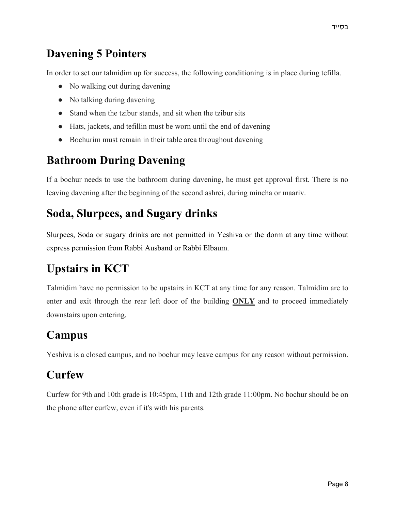#### **Davening 5 Pointers**

In order to set our talmidim up for success, the following conditioning is in place during tefilla.

- No walking out during davening
- No talking during davening
- Stand when the tzibur stands, and sit when the tzibur sits
- Hats, jackets, and tefillin must be worn until the end of davening
- Bochurim must remain in their table area throughout davening

#### **Bathroom During Davening**

If a bochur needs to use the bathroom during davening, he must get approval first. There is no leaving davening after the beginning of the second ashrei, during mincha or maariv.

#### **Soda, Slurpees, and Sugary drinks**

Slurpees, Soda or sugary drinks are not permitted in Yeshiva or the dorm at any time without express permission from Rabbi Ausband or Rabbi Elbaum.

## **Upstairs in KCT**

Talmidim have no permission to be upstairs in KCT at any time for any reason. Talmidim are to enter and exit through the rear left door of the building **ONLY** and to proceed immediately downstairs upon entering.

#### **Campus**

Yeshiva is a closed campus, and no bochur may leave campus for any reason without permission.

#### **Curfew**

Curfew for 9th and 10th grade is 10:45pm, 11th and 12th grade 11:00pm. No bochur should be on the phone after curfew, even if it's with his parents.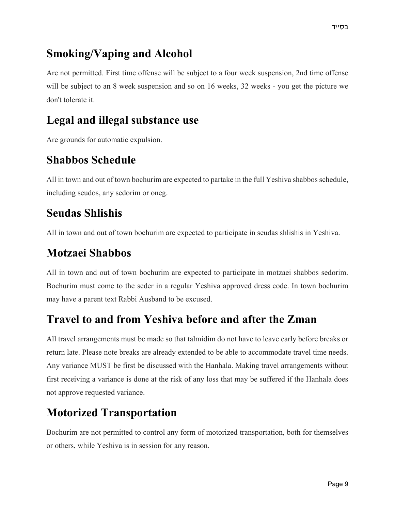#### **Smoking/Vaping and Alcohol**

Are not permitted. First time offense will be subject to a four week suspension, 2nd time offense will be subject to an 8 week suspension and so on 16 weeks, 32 weeks - you get the picture we don't tolerate it.

#### **Legal and illegal substance use**

Are grounds for automatic expulsion.

#### **Shabbos Schedule**

All in town and out of town bochurim are expected to partake in the full Yeshiva shabbos schedule, including seudos, any sedorim or oneg.

#### **Seudas Shlishis**

All in town and out of town bochurim are expected to participate in seudas shlishis in Yeshiva.

### **Motzaei Shabbos**

All in town and out of town bochurim are expected to participate in motzaei shabbos sedorim. Bochurim must come to the seder in a regular Yeshiva approved dress code. In town bochurim may have a parent text Rabbi Ausband to be excused.

#### **Travel to and from Yeshiva before and after the Zman**

All travel arrangements must be made so that talmidim do not have to leave early before breaks or return late. Please note breaks are already extended to be able to accommodate travel time needs. Any variance MUST be first be discussed with the Hanhala. Making travel arrangements without first receiving a variance is done at the risk of any loss that may be suffered if the Hanhala does not approve requested variance.

### **Motorized Transportation**

Bochurim are not permitted to control any form of motorized transportation, both for themselves or others, while Yeshiva is in session for any reason.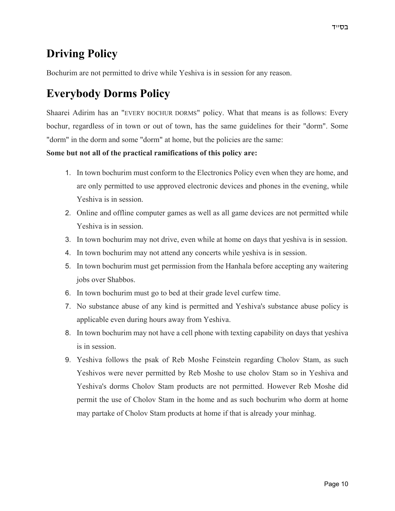#### **Driving Policy**

Bochurim are not permitted to drive while Yeshiva is in session for any reason.

#### **Everybody Dorms Policy**

Shaarei Adirim has an "EVERY BOCHUR DORMS" policy. What that means is as follows: Every bochur, regardless of in town or out of town, has the same guidelines for their "dorm". Some "dorm" in the dorm and some "dorm" at home, but the policies are the same:

**Some but not all of the practical ramifications of this policy are:**

- 1. In town bochurim must conform to the Electronics Policy even when they are home, and are only permitted to use approved electronic devices and phones in the evening, while Yeshiva is in session.
- 2. Online and offline computer games as well as all game devices are not permitted while Yeshiva is in session.
- 3. In town bochurim may not drive, even while at home on days that yeshiva is in session.
- 4. In town bochurim may not attend any concerts while yeshiva is in session.
- 5. In town bochurim must get permission from the Hanhala before accepting any waitering jobs over Shabbos.
- 6. In town bochurim must go to bed at their grade level curfew time.
- 7. No substance abuse of any kind is permitted and Yeshiva's substance abuse policy is applicable even during hours away from Yeshiva.
- 8. In town bochurim may not have a cell phone with texting capability on days that yeshiva is in session.
- 9. Yeshiva follows the psak of Reb Moshe Feinstein regarding Cholov Stam, as such Yeshivos were never permitted by Reb Moshe to use cholov Stam so in Yeshiva and Yeshiva's dorms Cholov Stam products are not permitted. However Reb Moshe did permit the use of Cholov Stam in the home and as such bochurim who dorm at home may partake of Cholov Stam products at home if that is already your minhag.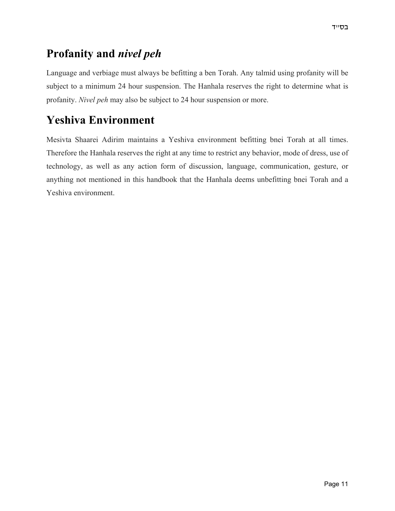#### **Profanity and** *nivel peh*

Language and verbiage must always be befitting a ben Torah. Any talmid using profanity will be subject to a minimum 24 hour suspension. The Hanhala reserves the right to determine what is profanity. *Nivel peh* may also be subject to 24 hour suspension or more.

#### **Yeshiva Environment**

Mesivta Shaarei Adirim maintains a Yeshiva environment befitting bnei Torah at all times. Therefore the Hanhala reserves the right at any time to restrict any behavior, mode of dress, use of technology, as well as any action form of discussion, language, communication, gesture, or anything not mentioned in this handbook that the Hanhala deems unbefitting bnei Torah and a Yeshiva environment.